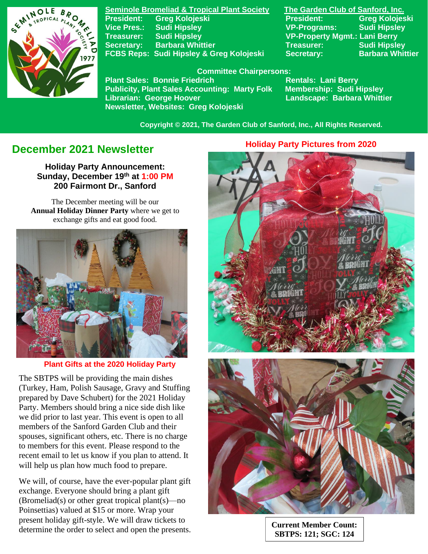

**Seminole Bromeliad & Tropical Plant Society The Garden Club of Sanford, Inc. Vice Pres.: Sudi Hipsley VP-Programs: Sudi Hipsley Treasurer: Sudi Hipsley VP-Property Mgmt.: Lani Berry Secretary:** Barbara Whittier **Network Charles Treasurer:** Sudi Hipsley **FCBS Reps: Sudi Hipsley & Greg Kolojeski Secretary: Barbara Whittier** 

**President: Greg Kolojeski President: Greg Kolojeski** 

#### **Committee Chairpersons:**

Plant Sales: Bonnie Friedrich **Rentals: Lani Berry<br>Publicity, Plant Sales Accounting: Marty Folk Membership: Sudi Hipsley Publicity, Plant Sales Accounting: Marty Folk Librarian: George Hoover Landscape: Barbara Whittier Newsletter, Websites: Greg Kolojeski**

 **Copyright © 2021, The Garden Club of Sanford, Inc., All Rights Reserved.**

# **December 2021 Newsletter**

**Holiday Party Announcement: Sunday, December 19th at 1:00 PM 200 Fairmont Dr., Sanford**

The December meeting will be our **Annual Holiday Dinner Party** where we get to exchange gifts and eat good food.



#### **Plant Gifts at the 2020 Holiday Party**

The SBTPS will be providing the main dishes (Turkey, Ham, Polish Sausage, Gravy and Stuffing prepared by Dave Schubert) for the 2021 Holiday Party. Members should bring a nice side dish like we did prior to last year. This event is open to all members of the Sanford Garden Club and their spouses, significant others, etc. There is no charge to members for this event. Please respond to the recent email to let us know if you plan to attend. It will help us plan how much food to prepare.

We will, of course, have the ever-popular plant gift exchange. Everyone should bring a plant gift (Bromeliad(s) or other great tropical plant(s)—no Poinsettias) valued at \$15 or more. Wrap your present holiday gift-style. We will draw tickets to determine the order to select and open the presents.

 **Holiday Party Pictures from 2020**





**Current Member Count: SBTPS: 121; SGC: 124**